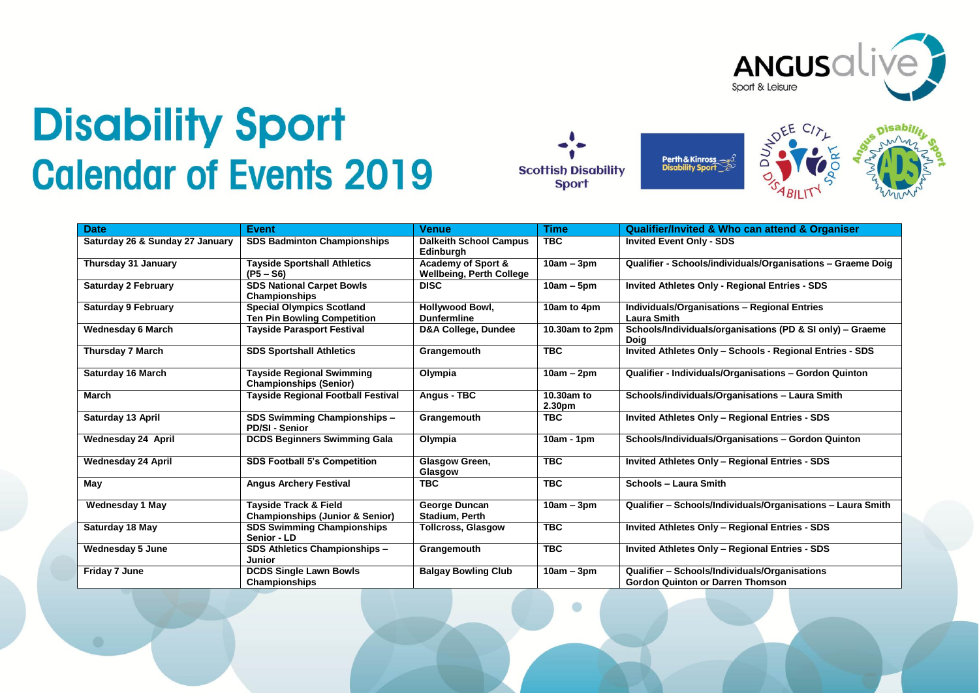

## **Disability Sport Calendar of Events 2019**







| <b>Date</b>                     | <b>Event</b>                                                           | <b>Venue</b>                                                     | <b>Time</b>          | <b>Qualifier/Invited &amp; Who can attend &amp; Organiser</b>                            |
|---------------------------------|------------------------------------------------------------------------|------------------------------------------------------------------|----------------------|------------------------------------------------------------------------------------------|
| Saturday 26 & Sunday 27 January | <b>SDS Badminton Championships</b>                                     | <b>Dalkeith School Campus</b><br>Edinburgh                       | <b>TBC</b>           | <b>Invited Event Only - SDS</b>                                                          |
| Thursday 31 January             | <b>Tayside Sportshall Athletics</b><br>$(P5 - S6)$                     | <b>Academy of Sport &amp;</b><br><b>Wellbeing, Perth College</b> | $10am - 3pm$         | Qualifier - Schools/individuals/Organisations - Graeme Doig                              |
| <b>Saturday 2 February</b>      | <b>SDS National Carpet Bowls</b><br>Championships                      | <b>DISC</b>                                                      | $10am - 5pm$         | <b>Invited Athletes Only - Regional Entries - SDS</b>                                    |
| <b>Saturday 9 February</b>      | <b>Special Olympics Scotland</b><br><b>Ten Pin Bowling Competition</b> | Hollywood Bowl,<br><b>Dunfermline</b>                            | 10am to 4pm          | <b>Individuals/Organisations - Regional Entries</b><br><b>Laura Smith</b>                |
| <b>Wednesday 6 March</b>        | <b>Tayside Parasport Festival</b>                                      | <b>D&amp;A College, Dundee</b>                                   | 10.30am to 2pm       | Schools/Individuals/organisations (PD & SI only) - Graeme<br>Doia                        |
| <b>Thursday 7 March</b>         | <b>SDS Sportshall Athletics</b>                                        | Grangemouth                                                      | <b>TBC</b>           | Invited Athletes Only - Schools - Regional Entries - SDS                                 |
| <b>Saturday 16 March</b>        | <b>Tayside Regional Swimming</b><br><b>Championships (Senior)</b>      | Olympia                                                          | $10am - 2pm$         | Qualifier - Individuals/Organisations - Gordon Quinton                                   |
| <b>March</b>                    | <b>Tayside Regional Football Festival</b>                              | Angus - TBC                                                      | 10.30am to<br>2.30pm | Schools/individuals/Organisations - Laura Smith                                          |
| Saturday 13 April               | SDS Swimming Championships -<br><b>PD/SI - Senior</b>                  | Grangemouth                                                      | <b>TBC</b>           | <b>Invited Athletes Only - Regional Entries - SDS</b>                                    |
| Wednesday 24 April              | <b>DCDS Beginners Swimming Gala</b>                                    | Olympia                                                          | $10am - 1pm$         | Schools/Individuals/Organisations - Gordon Quinton                                       |
| <b>Wednesday 24 April</b>       | <b>SDS Football 5's Competition</b>                                    | Glasgow Green,<br>Glasgow                                        | <b>TBC</b>           | <b>Invited Athletes Only - Regional Entries - SDS</b>                                    |
| May                             | <b>Angus Archery Festival</b>                                          | <b>TBC</b>                                                       | <b>TBC</b>           | <b>Schools - Laura Smith</b>                                                             |
| <b>Wednesday 1 May</b>          | Tayside Track & Field<br><b>Championships (Junior &amp; Senior)</b>    | George Duncan<br><b>Stadium, Perth</b>                           | $10am - 3pm$         | Qualifier - Schools/Individuals/Organisations - Laura Smith                              |
| Saturday 18 May                 | <b>SDS Swimming Championships</b><br>Senior - LD                       | <b>Tollcross, Glasgow</b>                                        | <b>TBC</b>           | <b>Invited Athletes Only - Regional Entries - SDS</b>                                    |
| <b>Wednesday 5 June</b>         | SDS Athletics Championships -<br><b>Junior</b>                         | Grangemouth                                                      | <b>TBC</b>           | <b>Invited Athletes Only - Regional Entries - SDS</b>                                    |
| Friday 7 June                   | <b>DCDS Single Lawn Bowls</b><br><b>Championships</b>                  | <b>Balgay Bowling Club</b>                                       | $10am - 3pm$         | Qualifier - Schools/Individuals/Organisations<br><b>Gordon Quinton or Darren Thomson</b> |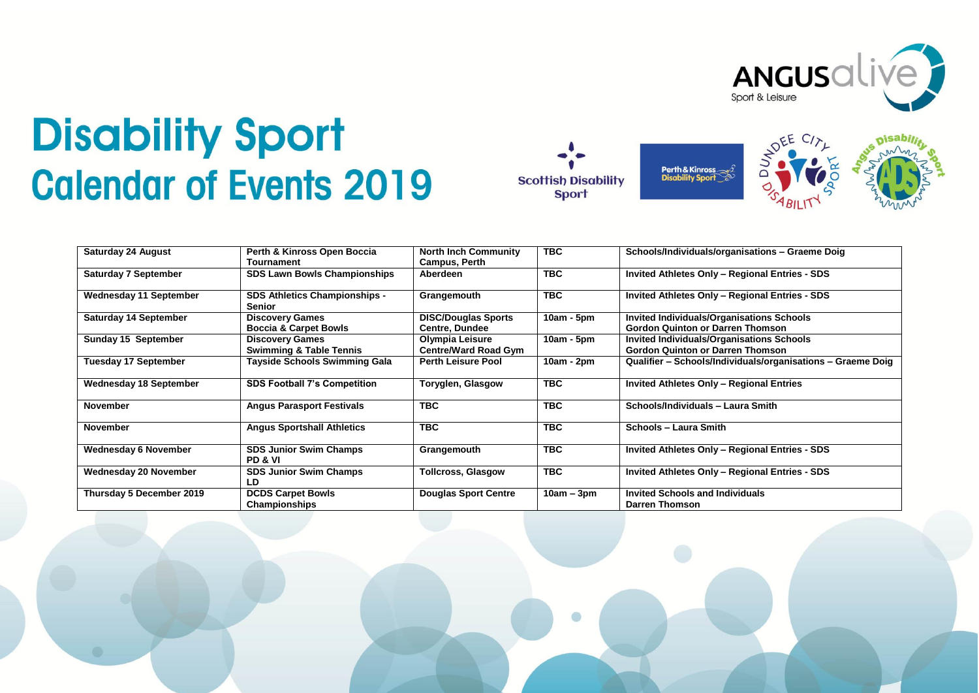

## **Disability Sport Calendar of Events 2019**



| Saturday 24 August            | Perth & Kinross Open Boccia                                                | <b>North Inch Community</b>                       | <b>TBC</b>   | Schools/Individuals/organisations - Graeme Doig                                                        |
|-------------------------------|----------------------------------------------------------------------------|---------------------------------------------------|--------------|--------------------------------------------------------------------------------------------------------|
| <b>Saturday 7 September</b>   | <b>Tournament</b><br><b>SDS Lawn Bowls Championships</b>                   | <b>Campus, Perth</b><br>Aberdeen                  | <b>TBC</b>   | Invited Athletes Only - Regional Entries - SDS                                                         |
| <b>Wednesday 11 September</b> | <b>SDS Athletics Championships -</b>                                       | Grangemouth                                       | <b>TBC</b>   | <b>Invited Athletes Only - Regional Entries - SDS</b>                                                  |
| <b>Saturday 14 September</b>  | <b>Senior</b><br><b>Discovery Games</b>                                    | <b>DISC/Douglas Sports</b>                        | $10am - 5pm$ | <b>Invited Individuals/Organisations Schools</b>                                                       |
| Sunday 15 September           | <b>Boccia &amp; Carpet Bowls</b><br><b>Discovery Games</b>                 | <b>Centre, Dundee</b><br>Olympia Leisure          | $10am - 5pm$ | <b>Gordon Quinton or Darren Thomson</b><br><b>Invited Individuals/Organisations Schools</b>            |
| <b>Tuesday 17 September</b>   | <b>Swimming &amp; Table Tennis</b><br><b>Tayside Schools Swimming Gala</b> | Centre/Ward Road Gym<br><b>Perth Leisure Pool</b> | 10am - 2pm   | <b>Gordon Quinton or Darren Thomson</b><br>Qualifier - Schools/Individuals/organisations - Graeme Doig |
| <b>Wednesday 18 September</b> | <b>SDS Football 7's Competition</b>                                        | Toryglen, Glasgow                                 | <b>TBC</b>   | Invited Athletes Only - Regional Entries                                                               |
|                               |                                                                            |                                                   |              |                                                                                                        |
| <b>November</b>               | <b>Angus Parasport Festivals</b>                                           | <b>TBC</b>                                        | <b>TBC</b>   | Schools/Individuals - Laura Smith                                                                      |
| <b>November</b>               | <b>Angus Sportshall Athletics</b>                                          | <b>TBC</b>                                        | <b>TBC</b>   | Schools - Laura Smith                                                                                  |
| <b>Wednesday 6 November</b>   | <b>SDS Junior Swim Champs</b><br><b>PD &amp; VI</b>                        | Grangemouth                                       | <b>TBC</b>   | <b>Invited Athletes Only - Regional Entries - SDS</b>                                                  |
| Wednesday 20 November         | <b>SDS Junior Swim Champs</b><br>LD                                        | Tollcross, Glasgow                                | <b>TBC</b>   | Invited Athletes Only - Regional Entries - SDS                                                         |
| Thursday 5 December 2019      | <b>DCDS Carpet Bowls</b><br>Championships                                  | <b>Douglas Sport Centre</b>                       | $10am - 3pm$ | <b>Invited Schools and Individuals</b><br><b>Darren Thomson</b>                                        |